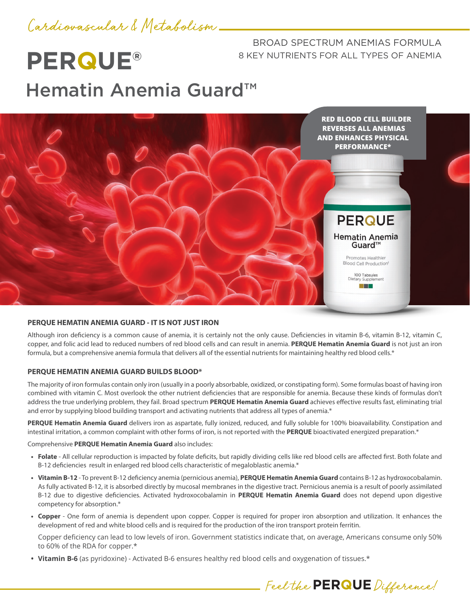

**PERQUE®**

BROAD SPECTRUM ANEMIAS FORMULA 8 KEY NUTRIENTS FOR ALL TYPES OF ANEMIA

Feel the **PERQUE** Difference!

# Hematin Anemia Guard™



#### **PERQUE HEMATIN ANEMIA GUARD - IT IS NOT JUST IRON**

Although iron deficiency is a common cause of anemia, it is certainly not the only cause. Deficiencies in vitamin B-6, vitamin B-12, vitamin C, copper, and folic acid lead to reduced numbers of red blood cells and can result in anemia. **PERQUE Hematin Anemia Guard** is not just an iron formula, but a comprehensive anemia formula that delivers all of the essential nutrients for maintaining healthy red blood cells.\*

#### **PERQUE HEMATIN ANEMIA GUARD BUILDS BLOOD\***

The majority of iron formulas contain only iron (usually in a poorly absorbable, oxidized, or constipating form). Some formulas boast of having iron combined with vitamin C. Most overlook the other nutrient deficiencies that are responsible for anemia. Because these kinds of formulas don't address the true underlying problem, they fail. Broad spectrum **PERQUE Hematin Anemia Guard** achieves effective results fast, eliminating trial and error by supplying blood building transport and activating nutrients that address all types of anemia.\*

**PERQUE Hematin Anemia Guard** delivers iron as aspartate, fully ionized, reduced, and fully soluble for 100% bioavailability. Constipation and intestinal irritation, a common complaint with other forms of iron, is not reported with the **PERQUE** bioactivated energized preparation.\*

Comprehensive **PERQUE Hematin Anemia Guard** also includes:

- **• Folate**  All cellular reproduction is impacted by folate deficits, but rapidly dividing cells like red blood cells are affected first. Both folate and B-12 deficiencies result in enlarged red blood cells characteristic of megaloblastic anemia.\*
- **• Vitamin B-12**  To prevent B-12 deficiency anemia (pernicious anemia), **PERQUE Hematin Anemia Guard** contains B-12 as hydroxocobalamin. As fully activated B-12, it is absorbed directly by mucosal membranes in the digestive tract. Pernicious anemia is a result of poorly assimilated B-12 due to digestive deficiencies. Activated hydroxocobalamin in **PERQUE Hematin Anemia Guard** does not depend upon digestive competency for absorption.\*
- **• Copper**  One form of anemia is dependent upon copper. Copper is required for proper iron absorption and utilization. It enhances the development of red and white blood cells and is required for the production of the iron transport protein ferritin.

Copper deficiency can lead to low levels of iron. Government statistics indicate that, on average, Americans consume only 50% to 60% of the RDA for copper.\*

**• Vitamin B-6** (as pyridoxine) - Activated B-6 ensures healthy red blood cells and oxygenation of tissues.\*